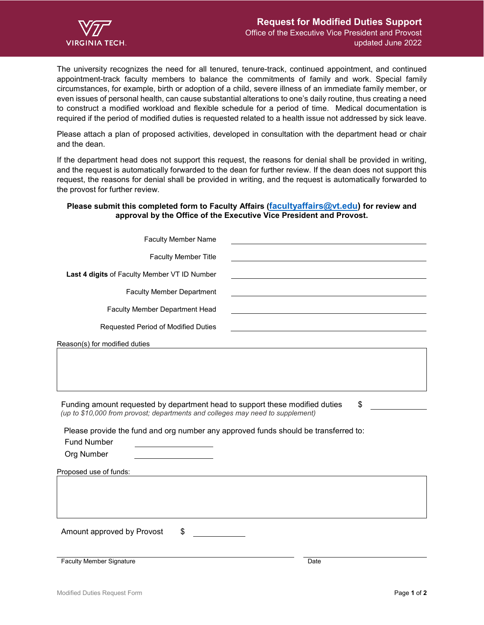

The university recognizes the need for all tenured, tenure-track, continued appointment, and continued appointment-track faculty members to balance the commitments of family and work. Special family circumstances, for example, birth or adoption of a child, severe illness of an immediate family member, or even issues of personal health, can cause substantial alterations to one's daily routine, thus creating a need to construct a modified workload and flexible schedule for a period of time. Medical documentation is required if the period of modified duties is requested related to a health issue not addressed by sick leave.

Please attach a plan of proposed activities, developed in consultation with the department head or chair and the dean.

If the department head does not support this request, the reasons for denial shall be provided in writing, and the request is automatically forwarded to the dean for further review. If the dean does not support this request, the reasons for denial shall be provided in writing, and the request is automatically forwarded to the provost for further review.

## **Please submit this completed form to Faculty Affairs [\(facultyaffairs@vt.edu\)](mailto:facultyaffairs@vt.edu) for review and approval by the Office of the Executive Vice President and Provost.**

| <b>Faculty Member Name</b>                                                                                                                                                                                                                                                                      |      |  |
|-------------------------------------------------------------------------------------------------------------------------------------------------------------------------------------------------------------------------------------------------------------------------------------------------|------|--|
| <b>Faculty Member Title</b>                                                                                                                                                                                                                                                                     |      |  |
| Last 4 digits of Faculty Member VT ID Number                                                                                                                                                                                                                                                    |      |  |
| <b>Faculty Member Department</b>                                                                                                                                                                                                                                                                |      |  |
| Faculty Member Department Head                                                                                                                                                                                                                                                                  |      |  |
| Requested Period of Modified Duties                                                                                                                                                                                                                                                             |      |  |
| Reason(s) for modified duties                                                                                                                                                                                                                                                                   |      |  |
|                                                                                                                                                                                                                                                                                                 |      |  |
|                                                                                                                                                                                                                                                                                                 |      |  |
| Funding amount requested by department head to support these modified duties<br>\$<br>(up to \$10,000 from provost; departments and colleges may need to supplement)<br>Please provide the fund and org number any approved funds should be transferred to:<br><b>Fund Number</b><br>Org Number |      |  |
| Proposed use of funds:                                                                                                                                                                                                                                                                          |      |  |
|                                                                                                                                                                                                                                                                                                 |      |  |
| Amount approved by Provost<br>\$                                                                                                                                                                                                                                                                |      |  |
| <b>Faculty Member Signature</b>                                                                                                                                                                                                                                                                 | Date |  |